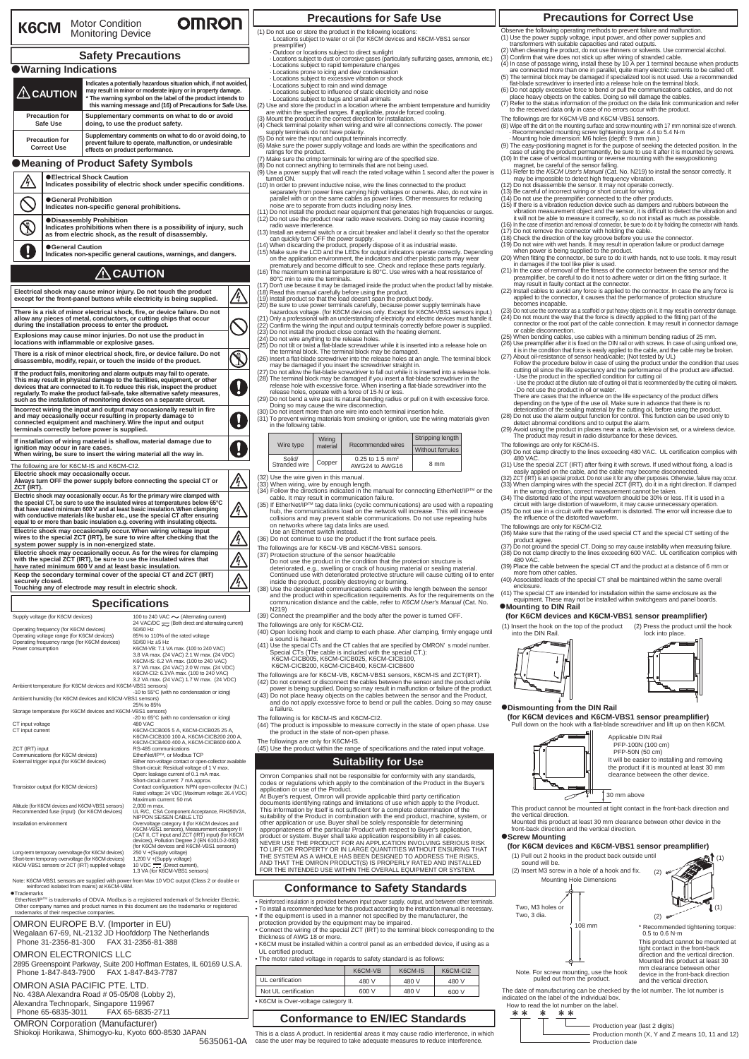| <b>OMRON</b><br>K6CM Motor Condition<br>Monitoring Device                                                                                                                                                                                                                                                                                                                                  |                                                                                                                                                                        |                                                                                                                                                                                                     |                                                                                                                                                                              |                                                                                                                                                                                                                                                                                                                             |  |
|--------------------------------------------------------------------------------------------------------------------------------------------------------------------------------------------------------------------------------------------------------------------------------------------------------------------------------------------------------------------------------------------|------------------------------------------------------------------------------------------------------------------------------------------------------------------------|-----------------------------------------------------------------------------------------------------------------------------------------------------------------------------------------------------|------------------------------------------------------------------------------------------------------------------------------------------------------------------------------|-----------------------------------------------------------------------------------------------------------------------------------------------------------------------------------------------------------------------------------------------------------------------------------------------------------------------------|--|
| <b>Safety Precautions</b>                                                                                                                                                                                                                                                                                                                                                                  |                                                                                                                                                                        |                                                                                                                                                                                                     |                                                                                                                                                                              |                                                                                                                                                                                                                                                                                                                             |  |
|                                                                                                                                                                                                                                                                                                                                                                                            | <b>Warning Indications</b>                                                                                                                                             |                                                                                                                                                                                                     |                                                                                                                                                                              |                                                                                                                                                                                                                                                                                                                             |  |
| Indicates a potentially hazardous situation which, if not avoided,<br>may result in minor or moderate injury or in property damage.<br>$\triangle$ CAUTION<br>* The warning symbol on the label of the product intends to<br>this warning message and (16) of Precautions for Safe Use.                                                                                                    |                                                                                                                                                                        |                                                                                                                                                                                                     |                                                                                                                                                                              |                                                                                                                                                                                                                                                                                                                             |  |
|                                                                                                                                                                                                                                                                                                                                                                                            | <b>Precaution for</b><br>Safe Use                                                                                                                                      | Supplementary comments on what to do or avoid<br>doing, to use the product safety.                                                                                                                  |                                                                                                                                                                              |                                                                                                                                                                                                                                                                                                                             |  |
| <b>Precaution for</b><br><b>Correct Use</b>                                                                                                                                                                                                                                                                                                                                                |                                                                                                                                                                        | Supplementary comments on what to do or avoid doing, to<br>prevent failure to operate, malfunction, or undesirable<br>effects on product performance.                                               |                                                                                                                                                                              |                                                                                                                                                                                                                                                                                                                             |  |
|                                                                                                                                                                                                                                                                                                                                                                                            |                                                                                                                                                                        | Meaning of Product Safety Symbols                                                                                                                                                                   |                                                                                                                                                                              |                                                                                                                                                                                                                                                                                                                             |  |
|                                                                                                                                                                                                                                                                                                                                                                                            | <b>Electrical Shock Caution</b><br>Indicates possibility of electric shock under specific conditions.                                                                  |                                                                                                                                                                                                     |                                                                                                                                                                              |                                                                                                                                                                                                                                                                                                                             |  |
|                                                                                                                                                                                                                                                                                                                                                                                            |                                                                                                                                                                        | ● General Prohibition<br>Indicates non-specific general prohibitions.                                                                                                                               |                                                                                                                                                                              |                                                                                                                                                                                                                                                                                                                             |  |
|                                                                                                                                                                                                                                                                                                                                                                                            | <b>ODisassembly Prohibition</b><br>Indicates prohibitions when there is a possibility of injury, such<br>as from electric shock, as the result of disassembly.         |                                                                                                                                                                                                     |                                                                                                                                                                              |                                                                                                                                                                                                                                                                                                                             |  |
|                                                                                                                                                                                                                                                                                                                                                                                            | General Caution                                                                                                                                                        |                                                                                                                                                                                                     |                                                                                                                                                                              | Indicates non-specific general cautions, warnings, and dangers.                                                                                                                                                                                                                                                             |  |
|                                                                                                                                                                                                                                                                                                                                                                                            |                                                                                                                                                                        |                                                                                                                                                                                                     | $\Lambda$ CAUTION                                                                                                                                                            |                                                                                                                                                                                                                                                                                                                             |  |
|                                                                                                                                                                                                                                                                                                                                                                                            |                                                                                                                                                                        | Electrical shock may cause minor injury. Do not touch the product                                                                                                                                   |                                                                                                                                                                              |                                                                                                                                                                                                                                                                                                                             |  |
|                                                                                                                                                                                                                                                                                                                                                                                            |                                                                                                                                                                        |                                                                                                                                                                                                     |                                                                                                                                                                              | except for the front-panel buttons while electricity is being supplied.<br>There is a risk of minor electrical shock, fire, or device failure. Do not                                                                                                                                                                       |  |
|                                                                                                                                                                                                                                                                                                                                                                                            |                                                                                                                                                                        | allow any pieces of metal, conductors, or cutting chips that occur<br>during the installation process to enter the product.<br>Explosions may cause minor injuries. Do not use the product in       |                                                                                                                                                                              |                                                                                                                                                                                                                                                                                                                             |  |
|                                                                                                                                                                                                                                                                                                                                                                                            |                                                                                                                                                                        | locations with inflammable or explosive gases.                                                                                                                                                      |                                                                                                                                                                              | There is a risk of minor electrical shock, fire, or device failure. Do not                                                                                                                                                                                                                                                  |  |
|                                                                                                                                                                                                                                                                                                                                                                                            |                                                                                                                                                                        | disassemble, modify, repair, or touch the inside of the product.                                                                                                                                    |                                                                                                                                                                              |                                                                                                                                                                                                                                                                                                                             |  |
| If the product fails, monitoring and alarm outputs may fail to operate.<br>This may result in physical damage to the facilities, equipment, or other<br>devices that are connected to it. To reduce this risk, inspect the product<br>regularly. To make the product fail-safe, take alternative safety measures,<br>such as the installation of monitoring devices on a separate circuit. |                                                                                                                                                                        |                                                                                                                                                                                                     |                                                                                                                                                                              |                                                                                                                                                                                                                                                                                                                             |  |
| Incorrect wiring the input and output may occasionally result in fire<br>and may occasionally occur resulting in property damage to<br>connected equipment and machinery. Wire the input and output<br>terminals correctly before power is supplied.                                                                                                                                       |                                                                                                                                                                        |                                                                                                                                                                                                     |                                                                                                                                                                              |                                                                                                                                                                                                                                                                                                                             |  |
| If installation of wiring material is shallow, material damage due to<br>ignition may occur in rare cases.<br>When wiring, be sure to insert the wiring material all the way in.                                                                                                                                                                                                           |                                                                                                                                                                        |                                                                                                                                                                                                     |                                                                                                                                                                              |                                                                                                                                                                                                                                                                                                                             |  |
| ZCT (IRT).                                                                                                                                                                                                                                                                                                                                                                                 | The following are for K6CM-IS and K6CM-CI2.<br>Electric shock may occasionally occur.<br>Always turn OFF the power supply before connecting the special CT or          |                                                                                                                                                                                                     |                                                                                                                                                                              |                                                                                                                                                                                                                                                                                                                             |  |
|                                                                                                                                                                                                                                                                                                                                                                                            |                                                                                                                                                                        |                                                                                                                                                                                                     |                                                                                                                                                                              | Electric shock may occasionally occur. As for the primary wire clamped with<br>the special CT, be sure to use the insulated wires at temperatures below 65°C<br>that have rated minimum 600 V and at least basic insulation. When clamping<br>with conductive materials like busbar etc., use the special CT after ensuring |  |
|                                                                                                                                                                                                                                                                                                                                                                                            |                                                                                                                                                                        | equal to or more than basic insulation e.g. covering with insulating objects.<br>Electric shock may occasionally occur. When wiring voltage input                                                   |                                                                                                                                                                              |                                                                                                                                                                                                                                                                                                                             |  |
|                                                                                                                                                                                                                                                                                                                                                                                            |                                                                                                                                                                        | system power supply is in non-energized state.                                                                                                                                                      |                                                                                                                                                                              | wires to the special ZCT (IRT), be sure to wire after checking that the<br>Electric shock may occasionally occur. As for the wires for clamping                                                                                                                                                                             |  |
|                                                                                                                                                                                                                                                                                                                                                                                            |                                                                                                                                                                        | with the special ZCT (IRT), be sure to use the insulated wires that<br>have rated minimum 600 V and at least basic insulation.<br>Keep the secondary terminal cover of the special CT and ZCT (IRT) |                                                                                                                                                                              |                                                                                                                                                                                                                                                                                                                             |  |
| securely closed.                                                                                                                                                                                                                                                                                                                                                                           |                                                                                                                                                                        | Touching any of electrode may result in electric shock.                                                                                                                                             |                                                                                                                                                                              |                                                                                                                                                                                                                                                                                                                             |  |
|                                                                                                                                                                                                                                                                                                                                                                                            |                                                                                                                                                                        |                                                                                                                                                                                                     | <b>Specifications</b>                                                                                                                                                        |                                                                                                                                                                                                                                                                                                                             |  |
|                                                                                                                                                                                                                                                                                                                                                                                            | Supply voltage (for K6CM devices)                                                                                                                                      |                                                                                                                                                                                                     |                                                                                                                                                                              | 100 to 240 VAC ∼ (Alternating current)                                                                                                                                                                                                                                                                                      |  |
| Operating frequency (for K6CM devices)<br>Operating voltage range (for K6CM devices)<br>Operating frequency range (for K6CM devices)<br>Power consumption                                                                                                                                                                                                                                  |                                                                                                                                                                        |                                                                                                                                                                                                     | 50/60 Hz<br>50/60 Hz ±5 Hz                                                                                                                                                   | 24 VAC/DC << (Both direct and alternating current)<br>85% to 110% of the rated voltage<br>K6CM-VB: 7.1 VA max. (100 to 240 VAC)                                                                                                                                                                                             |  |
| 3.8 VA max. (24 VAC) 2.1 W max. (24 VDC)<br>K6CM-IS: 6.2 VA max. (100 to 240 VAC)<br>3.7 VA max. (24 VAC) 2.0 W max. (24 VDC)<br>K6CM-Cl2: 6.1VA max. (100 to 240 VAC)<br>3.2 VA max. (24 VAC) 1.7 W max. (24 VDC)                                                                                                                                                                         |                                                                                                                                                                        |                                                                                                                                                                                                     |                                                                                                                                                                              |                                                                                                                                                                                                                                                                                                                             |  |
|                                                                                                                                                                                                                                                                                                                                                                                            |                                                                                                                                                                        | Ambient temperature (for K6CM devices and K6CM-VBS1 sensors)                                                                                                                                        |                                                                                                                                                                              | -10 to 55°C (with no condensation or icing)                                                                                                                                                                                                                                                                                 |  |
|                                                                                                                                                                                                                                                                                                                                                                                            |                                                                                                                                                                        | Ambient humidity (for K6CM devices and K6CM-VBS1 sensors)                                                                                                                                           | 25% to 85%                                                                                                                                                                   |                                                                                                                                                                                                                                                                                                                             |  |
| CT input voltage                                                                                                                                                                                                                                                                                                                                                                           |                                                                                                                                                                        | Storage temperature (for K6CM devices and K6CM-VBS1 sensors)                                                                                                                                        | <b>480 VAC</b>                                                                                                                                                               | -20 to 65°C (with no condensation or icing)                                                                                                                                                                                                                                                                                 |  |
| ZCT (IRT) input                                                                                                                                                                                                                                                                                                                                                                            | CT input current<br>K6CM-CICB005 5 A, K6CM-CICB025 25 A,<br>K6CM-CICB100 100 A, K6CM-CICB200 200 A,<br>K6CM-CICB400 400 A, K6CM-CICB600 600 A<br>RS-485 communications |                                                                                                                                                                                                     |                                                                                                                                                                              |                                                                                                                                                                                                                                                                                                                             |  |
| Communications (for K6CM devices)<br>External trigger input (for K6CM devices)                                                                                                                                                                                                                                                                                                             |                                                                                                                                                                        |                                                                                                                                                                                                     | EtherNet/IP™, or Modbus TCP<br>Either non-voltage contact or open-collector available<br>Short-circuit: Residual voltage of 1 V max.<br>Open: leakage current of 0.1 mA max. |                                                                                                                                                                                                                                                                                                                             |  |
| Short-circuit current: 7 mA approx.<br>Transistor output (for K6CM devices)<br>Contact configuration: NPN open-collector (N.C.)<br>Rated voltage: 24 VDC (Maximum voltage: 26.4 VDC)                                                                                                                                                                                                       |                                                                                                                                                                        |                                                                                                                                                                                                     |                                                                                                                                                                              |                                                                                                                                                                                                                                                                                                                             |  |
|                                                                                                                                                                                                                                                                                                                                                                                            |                                                                                                                                                                        | Altitude (for K6CM devices and K6CM-VBS1 sensors)<br>Recommended fuse (input) (for K6CM devices)                                                                                                    | Maximum current: 50 mA<br>2,000 m max.<br>NIPPON SEISEN CABLE LTD                                                                                                            | UL R/C, CSA Component Acceptance, FIH250V2A,                                                                                                                                                                                                                                                                                |  |

NIPPON SEISEN CABLE LTD<br>Installation environment<br>KCM-VBS1 sensors), Maasurement atlagery II<br>KGCM-VBS1 sensors), Markament category III<br>(CAT II, CT input and ZCT (IRT) input) (for K6CM<br>devices and K6CM-VBS1 sensors)<br>(for K6 Long-term temporary overvoltage (for K6CM devices) 250 V +(Supply voltage)<br>Short-term temporary overvoltage (for K6CM devices) 1,200 V +(Supply voltage)<br>K6CM-VBS1 sensors or ZCT (IRT) supplied voltage 10 VDC ==== (Direc 1.3 VA (for K6CM-VBS1 sensors)

Note: K6CM-VBS1 sensors are supplied with power from Max 10 VDC output (Class 2 or double or reinforced isolated from mains) at K6CM-VBM.

●Trademarks<br>EtherNet/IP™ is trademarks of ODVA. Modbus is a registered trademark of Schneider Electric.<br>Other company names and product names in this document are the trademarks or registered their company names and product names<br>ademarks of their respective companies.

OMRON EUROPE B.V. (Importer in EU) Wegalaan 67-69, NL-2132 JD Hoofddorp The Netherlands Phone 31-2356-81-300 FAX 31-2356-81-388

OMRON ELECTRONICS LLC

2895 Greenspoint Parkway, Suite 200 Hoffman Estates, IL 60169 U.S.A. Phone 1-847-843-7900 FAX 1-847-843-7787

OMRON ASIA PACIFIC PTE. LTD.

No. 438A Alexandra Road # 05-05/08 (Lobby 2), Alexandra Technopark, Singapore 119967 Phone 65-6835-3011 FAX 65-6835-2711

OMRON Corporation (Manufacturer)

5635061-0A Shiokoji Horikawa, Shimogyo-ku, Kyoto 600-8530 JAPAN

# **Precautions for Safe Use Precautions for Correct Use**

(1) Do not use or store the product in the following locations: · Locations subject to water or oil (for K6CM devices and K6CM-VBS1 sensor

- preamplifier)<br>Outdoor or locations subject to direct sunlight<br>Locations oubject to dust as corrective gases (parti
- 
- 
- 
- 
- 

- Outdoor or locations subject to direct sunlight<br>
- Locations subject to dust or corrosive gases (particularly sulfurizing gases, ammonia, etc.)<br>
- Locations subject to rapid temperature charges<br>
- Locations prone to icin

- (5) Do not wire the input and output terminals incorrectly.<br>
(6) Make sure the power supply voltage and loads are within the specifications and<br>
ratings for the product.<br>
(7) Make sure the crimp terminals for wiring are of
- 
- 
- 
- 
- 
- 
- 
- 
- 
- timumed ON.<br>The most of the provent inductive noise, wire the lines connected to the product<br>separately from power limes carrying high voltages or currents. Also, do not wire in<br>parallel with or no the same case as power l
- 
- 
- 
- 
- 

|                         | Wiring<br>material | Recommended wires                               | Stripping length |  |
|-------------------------|--------------------|-------------------------------------------------|------------------|--|
| Wire type               |                    |                                                 | Without ferrules |  |
| Solid/<br>Stranded wire | Copper             | $0.25$ to 1.5 mm <sup>2</sup><br>AWG24 to AWG16 | 8 mm             |  |

- 
- (33) Use the wire given in this manual.<br>
(33) When wiring, wire by enough length.<br>
(34) Follow the directions indicated in the manual for connecting EtherNet/IP<sup>TM</sup> or the<br>
(34) Follow the directions indicated in the manu
- (36) Do not continue to use the product if the front surface peels.
- 
- 
- 
- The followings are for K6CM-VB and K6CM-VBS1 sensors.<br>
(37) Protection structure of the sensor head/cable<br>
(37) Protection structure of the sensor head/cable<br>
Do not use the product in the condition that the protection st (39) Connect the preamplifier and the body after the power is turned OFF.
- 
- 
- The followings are only for K6CM-CI2.<br>(40) Open locking hook and clamp to each phase. After clamping, firmly engage until<br>a sound is heard.<br>(41) Use the special CTs and the CT cables that are specified by OMRON's model num
- 
- K6CM-CICB200, K6CM-CICB400, K6CM-CICB600
- The followings are for K6CM-VB, K6CM-VBS1 sensors, K6CM-IS and ZCT(IRT).<br>Do not connect or disconnect the cables between the sensor and the product while<br>power is being supplied. Doing so may result in malfunction or failu
- 
- The following is for K6CM-IS and K6CM-CI2.

(44) The product is impossible to measure correctly in the state of open phase. Use the product in the state of non-open phase.

The followings are only for K6CM-IS. (45) Use the product within the range of specifications and the rated input voltage.

## **Suitability for Use**

Omron Companies shall not be responsible for conformity with any standards,<br>Codes or regulations which apply to the combination of the Product in the Buyer's<br>application or use of the Product.<br>At Buyer's request, Omron wil THE SYSTEM AS A WHOLE HAS BEEN DESIGNED TO ADDRESS THE RISKS,<br>AND THAT THE OMRON PRODUCT(S) IS PROPERLY RATED AND INSTALLED<br>FOR THE INTENDED USE WITHIN THE OVERALL EQUIPMENT OR SYSTEM.

#### **Conformance to Safety Standards**

• Reinforced insulation is provided between input power supply, output, and between other terminals. • To install a recommended fuse for this product according to the instruction manual is necessary. • If the equipment is used in a manner not specified by the manufacturer, the protection provided by the equipment may be impaired.

- Connect the wiring of the special ZCT (IRT) to the terminal block corresponding to the thickness of AWG 18 or more. • K6CM must be installed within a control panel as an embedded device, if using as a
- UL certified product.

| • The motor rated voltage in regards to safety standard is as follows: |         |         |          |  |
|------------------------------------------------------------------------|---------|---------|----------|--|
|                                                                        | K6CM-VB | K6CM-IS | K6CM-CI2 |  |
| UL certification                                                       | 480 V   | 480 V   | 480 V    |  |
| Not UL certification                                                   | 600 V   | 480 V   | 600 V    |  |
| • K6CM is Over-voltage category II.                                    |         |         |          |  |

### **Conformance to EN/IEC Standards**

This is a class A product. In residential areas it may cause radio interference, in which case the user may be required to take adequate measures to reduce interference.

- Observe the following operating methods to prevent failure and malfunction. (1) Use the power supply voltage, input power, and other power supplies and
- 
- 
- transformers with suitable capacities and rated outputs.<br>
(2) When cleaning the product, do not use thinners or solvents. Use commercial alcohol.<br>
(3) Confirm that wire does not stick up after wiring of stranded cable.<br>
(4
- 
- place heavy objects on the cables. Doing so will damage the cables.<br>(7) Refer to the status information of the product on the data link communication and refer<br>to the received data only in case of no errors occur with the
- The followings are for K6CM-VB and K6C-M-VBS1 sensors. The model of the followings are for K6CM-VB and K6CM-VB<br>(8) Wipe off the dirt on the mounting surface and screw mounting with 17 mm nominal size of wrench
- From wings are to rocome of the mounting surface and screw mounting with 17 mm north recommended mounting screw tightening torque: 4.4 to 5.4 N-m<br>Mounting hole dimension: M6 holes (depth: 9 mm min.)
- Recommended mounting screw tightening torque. 4.4 to 5.4 N-m<br>
 Mounting hole dimension: M6 holes (depth: 9 mm min.)<br>
(9) The easy-positioning magnet is for the purpose of seeking the detected position. In the<br>
(10) In t
- 
- 
- 
- 
- 
- 
- 
- 
- 
- 
- 
- (24) Do not mount the way that the force is directly applied to the fitting part of the connector or the root part of the cable connection. It may result in connector damage or cable disconnection.
- 
- (25) When bending cables, use cables with a minimum bending radius of 25 mm.<br>(26) Use preamplifier after it is fixed on the DIN rail or with screws. In case of using unfixed one,<br>
it is in the condition that force is easil
- 
- 
- 
- 
- The followings are only for K6CM-IS. (30) Do not clamp directly to the lines exceeding 480 VAC. UL certification complies with
- 480 VAC.<br>
(31) Use the special ZCT (IRT) after fixing it with screws. If used without fixing, a load is<br>
casily applied on the cable, and the cable may become disconnected.<br>
(32) ZCT (IRT) is an special product. Do not us
- 
- 

The followings are only for K6CM-Cl2.<br>(36) Make sure that the rating of the used special CT and the special CT setting of the product agree.<br>(37) Do not ground the special CT. Doing so may cause instability when measuring (39) Place the cable between the special CT and the product at a distance of 6 mm or more from other cables. (40) Associated leads of the special CT shall be maintained within the same overall enclosure. (41) The special CT are intended for installation within the same enclosure as the equipment. These may not be installed within switchgears and panel boards.

**(for K6CM devices and K6CM-VBS1 sensor preamplifier)** 

(1) Insert the hook on the top of the product (2) Press the product until the hook

**(for K6CM devices and K6CM-VBS1 sensor preamplifier)**<br>Pull down on the hook with a flat-blade screwdriver and lift up on then **k** 

**(for K6CM devices and K6CM-VBS1 sensor preamplifier)** 

Production date

The date of manufacturing can be checked by the lot number. The lot number is indicated on the label of the individual box.

(1) Pull out 2 hooks in the product back outside until

108 mm

(2) Insert M3 screw in a hole of a hook and fix.

 $\overline{\mathscr{S}}$ 

Note. For screw mounting, use the hook pulled out from the product.

-4

 $\frac{1}{1}$  which is the lot of the individual box<br>  $\frac{1}{1}$  which is the label.

 $\overline{\mathsf{L}}$ 

Mounting Hole Dimensions

**Mounting to DIN Rail** 

into the DIN Rail.

**Dismounting from the DIN Rail** 

**Screw Mounting** 

sound will be.

Two, M3 holes or Two, 3 dia.

**A1**(1)

(2)

at-blade screwdriver and lift up on then K6CM

It will be easier to installing and removing the product if it is mounted at least 30 mm clearance between the other device.

Applicable DIN Rail PFP-100N (100 cm) PFP-50N (50 cm)

 $\frac{1}{30}$  mm above

This product cannot be mounted at tight contact in the front-back direction and<br>the vertical direction.<br>Mounted this product at least 30 mm clearance between other device in the<br>front-back direction and the vertical direct

lock into place.

 $(2)$ 

Production year (last 2 digits) Production month (X, Y and Z means 10, 11 and 12)

\* Recommended tightening torque:<br>0.5 to 0.6 N·m

ДĄ

0.5 to 0.6 N·m<br>This product cannot be mounted at<br>tight contact in the front-back<br>direction and the vertical direction.<br>Mounted this product at least 30<br>mm clearance between other<br>device in the front-back direction<br>and the

 $\mathbf{j}$  (1)